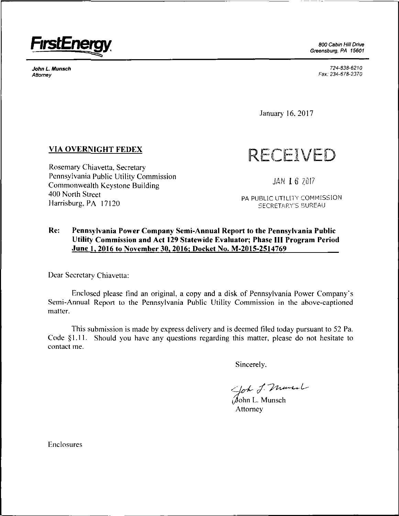

*Greensburg, PA 15601*

*JohnLMunsch 724-838-6210 Attorney Fax:234-678-2370*

January 16. 2017

## **VIA OVERNIGHT FEDEX**

Rosemary Chiavetta. Secretary Pennsylvania Public Utility Commission Commonwealth Keystone Building 400 North Street Harrisburg, PA 17120

**RECEIVED**

**JAN I <sup>6</sup> ?:0I7**

PA PUBLIC UTILITY COMMISSION SECRETARY'S BUREAU

## **Re: Pennsylvania Power Company Semi-Annual Report to the Pennsylvania Public Utility Commission and Act <sup>129</sup> Statewide Evaluator; Phase III Program Period June 1. 2016 to November 30, 2016; Docket No. M-2015-2514769**

Dear Secretary Chiavetta:

Enclosed please find an original, a copy and a disk of Pennsylvania Power Company's Semi-Annual Report to the Pennsylvania Public Utility Commission in the above-captioned matter.

This submission is made by express delivery and is deemed tiled today pursuant to 52 Pa. Code §1.11. Should you have any questions regarding this matter, please do not hesitate to contact me.

Sincerely.

lohn L. Munsch

Attorney

Enclosures